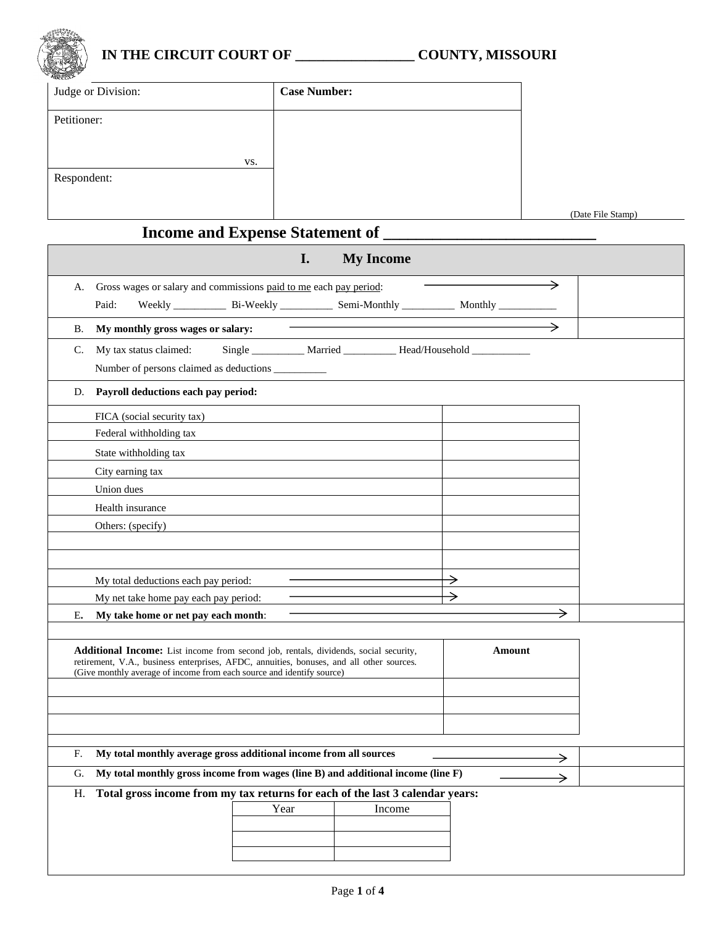

## **IN THE CIRCUIT COURT OF \_\_\_\_\_\_\_\_\_\_\_\_\_\_\_\_\_ COUNTY, MISSOURI**

| <b>SOLUCE</b>      |                     |                   |
|--------------------|---------------------|-------------------|
| Judge or Division: | <b>Case Number:</b> |                   |
| Petitioner:        |                     |                   |
|                    |                     |                   |
| VS.                |                     |                   |
| Respondent:        |                     |                   |
|                    |                     |                   |
|                    |                     | (Date File Stamp) |

# **Income and Expense Statement of \_\_\_\_\_\_\_\_\_\_\_\_\_\_\_\_\_\_\_\_\_\_\_\_\_\_**

| <b>My Income</b><br>I.                                                                                                                                                                                                                                    |               |  |  |  |  |
|-----------------------------------------------------------------------------------------------------------------------------------------------------------------------------------------------------------------------------------------------------------|---------------|--|--|--|--|
| Gross wages or salary and commissions paid to me each pay period:<br>А.                                                                                                                                                                                   |               |  |  |  |  |
| Weekly ______________ Bi-Weekly ______________ Semi-Monthly ______________ Monthly ______________<br>Paid:                                                                                                                                                |               |  |  |  |  |
| My monthly gross wages or salary:<br>В.                                                                                                                                                                                                                   |               |  |  |  |  |
| Single __________ Married _________ Head/Household __________<br>My tax status claimed:<br>C.                                                                                                                                                             |               |  |  |  |  |
| Number of persons claimed as deductions ___________                                                                                                                                                                                                       |               |  |  |  |  |
| Payroll deductions each pay period:<br>D.                                                                                                                                                                                                                 |               |  |  |  |  |
| FICA (social security tax)                                                                                                                                                                                                                                |               |  |  |  |  |
| Federal withholding tax                                                                                                                                                                                                                                   |               |  |  |  |  |
| State withholding tax                                                                                                                                                                                                                                     |               |  |  |  |  |
| City earning tax                                                                                                                                                                                                                                          |               |  |  |  |  |
| Union dues                                                                                                                                                                                                                                                |               |  |  |  |  |
| Health insurance                                                                                                                                                                                                                                          |               |  |  |  |  |
| Others: (specify)                                                                                                                                                                                                                                         |               |  |  |  |  |
|                                                                                                                                                                                                                                                           |               |  |  |  |  |
|                                                                                                                                                                                                                                                           |               |  |  |  |  |
| My total deductions each pay period:                                                                                                                                                                                                                      | $\rightarrow$ |  |  |  |  |
| My net take home pay each pay period:                                                                                                                                                                                                                     | →             |  |  |  |  |
| Ε.<br>My take home or net pay each month:                                                                                                                                                                                                                 |               |  |  |  |  |
| Additional Income: List income from second job, rentals, dividends, social security,<br>retirement, V.A., business enterprises, AFDC, annuities, bonuses, and all other sources.<br>(Give monthly average of income from each source and identify source) | Amount        |  |  |  |  |
|                                                                                                                                                                                                                                                           |               |  |  |  |  |
|                                                                                                                                                                                                                                                           |               |  |  |  |  |
|                                                                                                                                                                                                                                                           |               |  |  |  |  |
| My total monthly average gross additional income from all sources<br>F.                                                                                                                                                                                   |               |  |  |  |  |
| My total monthly gross income from wages (line B) and additional income (line F)<br>G.                                                                                                                                                                    |               |  |  |  |  |
| H. Total gross income from my tax returns for each of the last 3 calendar years:                                                                                                                                                                          |               |  |  |  |  |
| Year<br>Income                                                                                                                                                                                                                                            |               |  |  |  |  |
|                                                                                                                                                                                                                                                           |               |  |  |  |  |
|                                                                                                                                                                                                                                                           |               |  |  |  |  |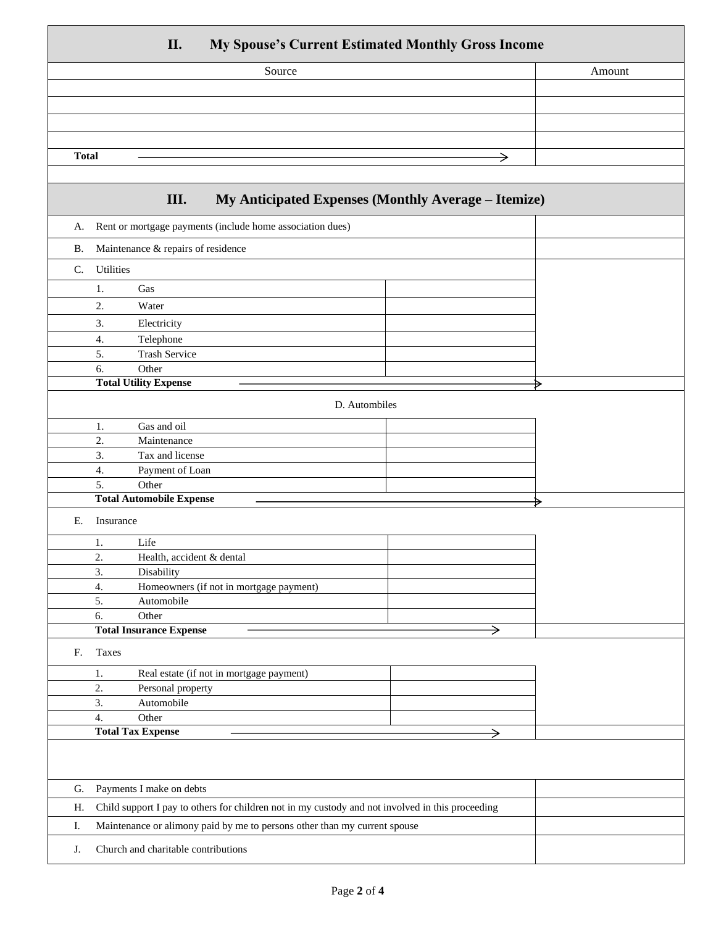#### **II. My Spouse's Current Estimated Monthly Gross Income**

| $\sim$<br>___<br>$\sim$ |        |
|-------------------------|--------|
| Source                  | Amount |
|                         |        |
|                         |        |
|                         |        |
|                         |        |
| <b>Total</b>            |        |
|                         |        |

### **III. My Anticipated Expenses (Monthly Average – Itemize)**

|           | $\mathbf{m}_i$ and patch expenses $(\mathbf{m}_i, \mathbf{m}_j)$ average attenue $(\mathbf{m}_i, \mathbf{m}_j)$ |   |   |
|-----------|-----------------------------------------------------------------------------------------------------------------|---|---|
| А.        | Rent or mortgage payments (include home association dues)                                                       |   |   |
| <b>B.</b> | Maintenance & repairs of residence                                                                              |   |   |
| C.        | Utilities                                                                                                       |   |   |
|           | Gas<br>1.                                                                                                       |   |   |
|           | 2.<br>Water                                                                                                     |   |   |
|           | 3.<br>Electricity                                                                                               |   |   |
|           | Telephone<br>4.                                                                                                 |   |   |
|           | <b>Trash Service</b><br>5.                                                                                      |   |   |
|           | Other<br>6.                                                                                                     |   |   |
|           | <b>Total Utility Expense</b>                                                                                    |   | ⋟ |
|           |                                                                                                                 |   |   |
|           | D. Autombiles                                                                                                   |   |   |
|           | Gas and oil<br>1.                                                                                               |   |   |
|           | 2.<br>Maintenance                                                                                               |   |   |
|           | 3.<br>Tax and license                                                                                           |   |   |
|           | 4.<br>Payment of Loan                                                                                           |   |   |
|           | 5.<br>Other<br><b>Total Automobile Expense</b>                                                                  |   |   |
|           |                                                                                                                 |   | ⋗ |
| Ε.        | Insurance                                                                                                       |   |   |
|           | Life<br>1.                                                                                                      |   |   |
|           | 2.<br>Health, accident & dental                                                                                 |   |   |
|           | 3.<br>Disability                                                                                                |   |   |
|           | 4.<br>Homeowners (if not in mortgage payment)                                                                   |   |   |
|           | 5.<br>Automobile                                                                                                |   |   |
|           | Other<br>6.                                                                                                     |   |   |
|           | <b>Total Insurance Expense</b>                                                                                  | → |   |
| F.        | Taxes                                                                                                           |   |   |
|           | Real estate (if not in mortgage payment)<br>1.                                                                  |   |   |
|           | 2.<br>Personal property                                                                                         |   |   |
|           | 3.<br>Automobile                                                                                                |   |   |
|           | $\overline{4}$ .<br>Other                                                                                       |   |   |
|           | <b>Total Tax Expense</b>                                                                                        |   |   |
|           |                                                                                                                 |   |   |
|           |                                                                                                                 |   |   |
| G.        | Payments I make on debts                                                                                        |   |   |
| H.        | Child support I pay to others for children not in my custody and not involved in this proceeding                |   |   |
| I.        | Maintenance or alimony paid by me to persons other than my current spouse                                       |   |   |
| J.        | Church and charitable contributions                                                                             |   |   |
|           |                                                                                                                 |   |   |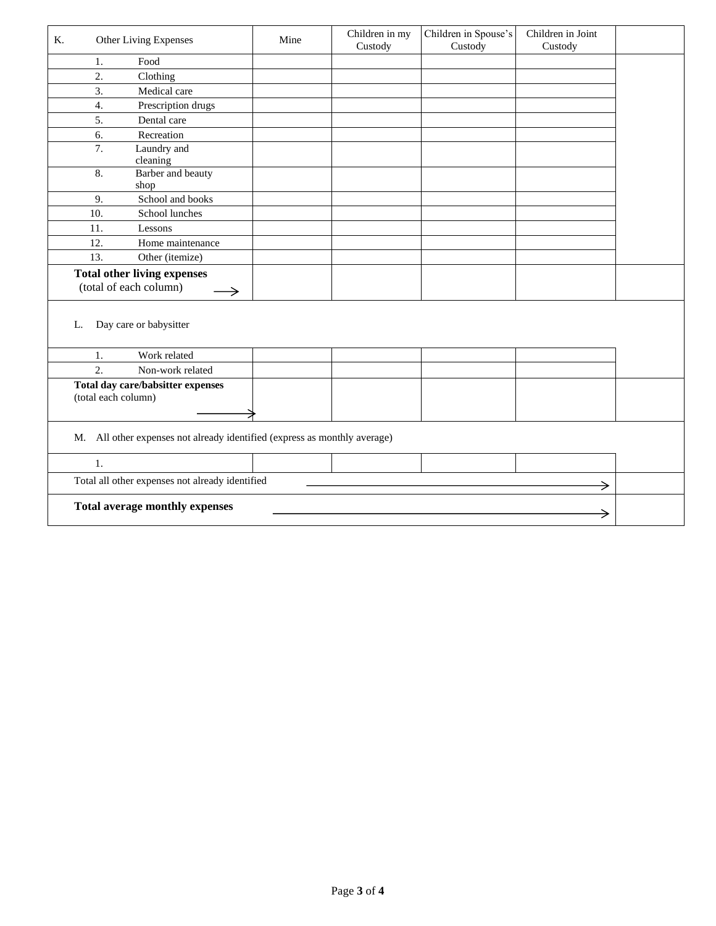| K.<br>Other Living Expenses                                               | Mine | Children in my<br>Custody | Children in Spouse's<br>Custody | Children in Joint<br>Custody |  |
|---------------------------------------------------------------------------|------|---------------------------|---------------------------------|------------------------------|--|
| Food<br>1.                                                                |      |                           |                                 |                              |  |
| $\overline{2}$ .<br>Clothing                                              |      |                           |                                 |                              |  |
| 3.<br>Medical care                                                        |      |                           |                                 |                              |  |
| $\overline{4}$ .<br>Prescription drugs                                    |      |                           |                                 |                              |  |
| 5.<br>Dental care                                                         |      |                           |                                 |                              |  |
| Recreation<br>6.                                                          |      |                           |                                 |                              |  |
| $\overline{7}$ .<br>Laundry and<br>cleaning                               |      |                           |                                 |                              |  |
| 8.<br>Barber and beauty<br>shop                                           |      |                           |                                 |                              |  |
| School and books<br>9.                                                    |      |                           |                                 |                              |  |
| 10.<br>School lunches                                                     |      |                           |                                 |                              |  |
| 11.<br>Lessons                                                            |      |                           |                                 |                              |  |
| 12.<br>Home maintenance                                                   |      |                           |                                 |                              |  |
| 13.<br>Other (itemize)                                                    |      |                           |                                 |                              |  |
| <b>Total other living expenses</b><br>(total of each column)<br>→         |      |                           |                                 |                              |  |
| Day care or babysitter<br>L.<br>Work related<br>1.                        |      |                           |                                 |                              |  |
| $\overline{2}$ .<br>Non-work related                                      |      |                           |                                 |                              |  |
| Total day care/babsitter expenses<br>(total each column)                  |      |                           |                                 |                              |  |
| M. All other expenses not already identified (express as monthly average) |      |                           |                                 |                              |  |
| 1.                                                                        |      |                           |                                 |                              |  |
| Total all other expenses not already identified                           |      |                           |                                 | →                            |  |
| <b>Total average monthly expenses</b>                                     |      |                           |                                 |                              |  |